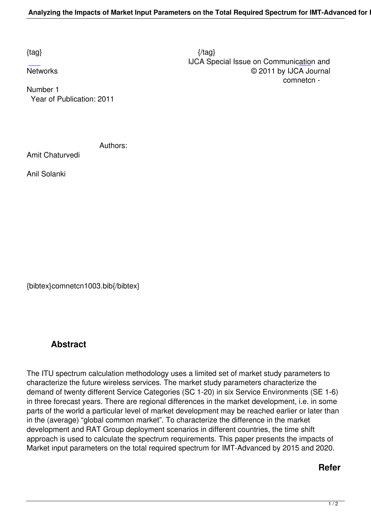[Num](http://research.ijcaonline.org/comnetcn/number1/comnetcn1003.pdf)ber 1 Year of Publication: 2011

Authors:

Amit Chaturvedi

Anil Solanki

{bibtex}comnetcn1003.bib{/bibtex}

## **Abstract**

The ITU spectrum calculation methodology uses a limited set of market study parameters to characterize the future wireless services. The market study parameters characterize the demand of twenty different Service Categories (SC 1-20) in six Service Environments (SE 1-6) in three forecast years. There are regional differences in the market development, i.e. in some parts of the world a particular level of market development may be reached earlier or later than in the (average) "global common market". To characterize the difference in the market development and RAT Group deployment scenarios in different countries, the time shift approach is used to calculate the spectrum requirements. This paper presents the impacts of Market input parameters on the total required spectrum for IMT-Advanced by 2015 and 2020.

## **Refer**